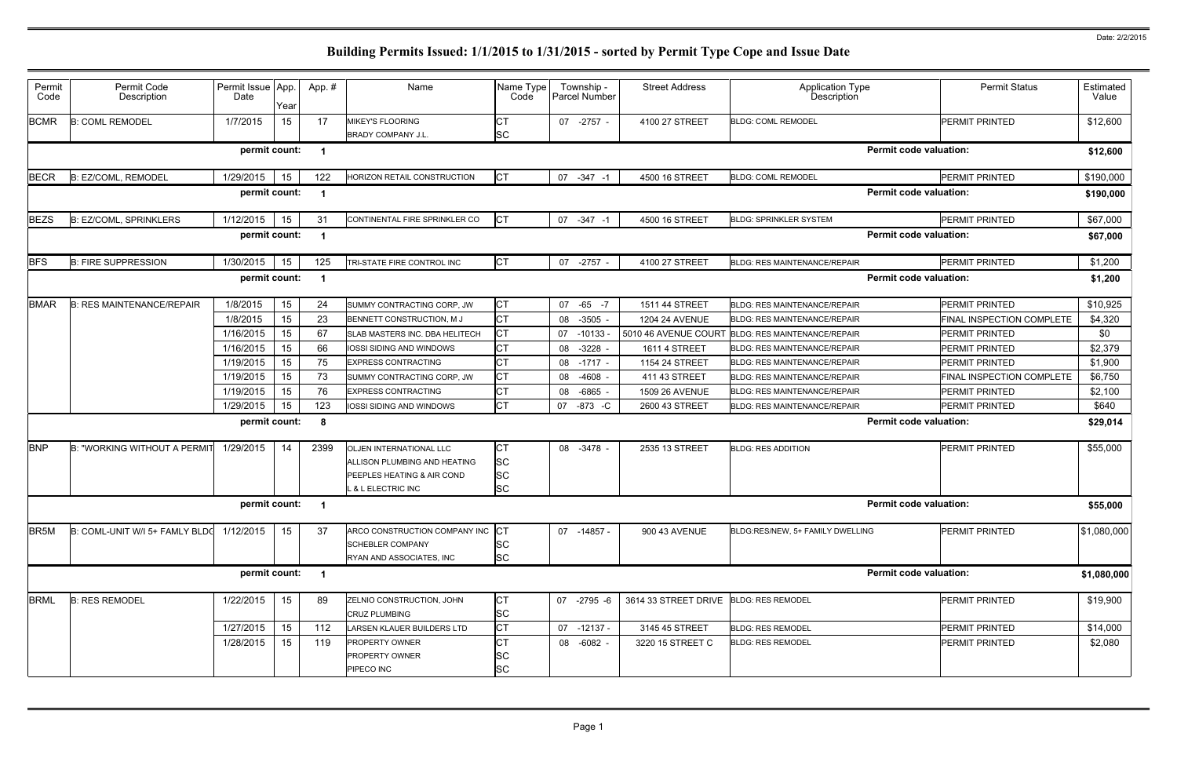| <b>CT</b><br><b>BCMR</b><br>1/7/2015<br>15<br>17<br><b>B: COML REMODEL</b><br><b>PERMIT PRINTED</b><br><b>MIKEY'S FLOORING</b><br>07 -2757 -<br>4100 27 STREET<br><b>BLDG: COML REMODEL</b><br>SC<br><b>BRADY COMPANY J.L.</b><br>permit count:<br><b>Permit code valuation:</b><br><b>CT</b><br>PERMIT PRINTED<br><b>BECR</b><br>B: EZ/COML, REMODEL<br>1/29/2015<br>15<br>122<br>07 -347 -1<br>4500 16 STREET<br><b>BLDG: COML REMODEL</b><br>HORIZON RETAIL CONSTRUCTION<br><b>Permit code valuation:</b><br>permit count:<br><b>CT</b><br><b>BEZS</b><br><b>B: EZ/COML, SPRINKLERS</b><br>1/12/2015<br>15<br>31<br>PERMIT PRINTED<br>CONTINENTAL FIRE SPRINKLER CO<br>07 -347 -1<br>4500 16 STREET<br><b>BLDG: SPRINKLER SYSTEM</b><br><b>Permit code valuation:</b><br>permit count:<br>СT<br><b>B: FIRE SUPPRESSION</b><br>1/30/2015<br>15<br>125<br>TRI-STATE FIRE CONTROL INC<br>4100 27 STREET<br><b>BLDG: RES MAINTENANCE/REPAIR</b><br><b>PERMIT PRINTED</b><br>07 -2757 -<br><b>Permit code valuation:</b><br>permit count:<br><b>CT</b><br>1/8/2015<br>15<br>24<br><b>PERMIT PRINTED</b><br><b>B: RES MAINTENANCE/REPAIR</b><br>SUMMY CONTRACTING CORP, JW<br>07 -65<br>1511 44 STREET<br><b>BLDG: RES MAINTENANCE/REPAIR</b><br>$-7$<br><b>CT</b><br>1/8/2015<br>15<br>23<br>$-3505$<br>BENNETT CONSTRUCTION, M J<br>1204 24 AVENUE<br><b>BLDG: RES MAINTENANCE/REPAIR</b><br>08<br>СT<br>1/16/2015<br>15<br>67<br><b>PERMIT PRINTED</b><br>SLAB MASTERS INC. DBA HELITECH<br>07 -10133<br>5010 46 AVENUE COURT<br><b>BLDG: RES MAINTENANCE/REPAIR</b><br>СT<br>66<br>1/16/2015<br>15<br>$-3228$<br>IOSSI SIDING AND WINDOWS<br>1611 4 STREET<br>PERMIT PRINTED<br>08<br><b>BLDG: RES MAINTENANCE/REPAIR</b><br><b>CT</b><br>15<br>1/19/2015<br>75<br><b>EXPRESS CONTRACTING</b><br>08 -1717 -<br>PERMIT PRINTED<br>1154 24 STREET<br><b>BLDG: RES MAINTENANCE/REPAIR</b><br>СT<br>73<br>1/19/2015<br>15<br>-4608<br>411 43 STREET<br>SUMMY CONTRACTING CORP, JW<br>08<br><b>BLDG: RES MAINTENANCE/REPAIR</b><br>СT<br>1/19/2015<br>15<br>76<br>-6865<br><b>PERMIT PRINTED</b><br><b>EXPRESS CONTRACTING</b><br>1509 26 AVENUE<br><b>BLDG: RES MAINTENANCE/REPAIR</b><br>08<br><b>CT</b><br>123<br>1/29/2015<br>15<br>07 -873 -C<br>2600 43 STREET<br>PERMIT PRINTED<br>IOSSI SIDING AND WINDOWS<br>BLDG: RES MAINTENANCE/REPAIR<br><b>Permit code valuation:</b><br>permit count:<br>-8<br><b>CT</b><br>1/29/2015<br>14<br>2399<br><b>B: "WORKING WITHOUT A PERMI</b><br><b>PERMIT PRINTED</b><br><b>OLJEN INTERNATIONAL LLC</b><br>08 -3478 -<br>2535 13 STREET<br><b>BLDG: RES ADDITION</b><br><b>SC</b><br>ALLISON PLUMBING AND HEATING<br>SC<br><b>PEEPLES HEATING &amp; AIR COND</b><br>SC<br>L & L ELECTRIC INC<br>permit count:<br><b>Permit code valuation:</b><br><b>CT</b><br>B: COML-UNIT W/I 5+ FAMLY BLDC<br>1/12/2015<br>15<br>37<br>ARCO CONSTRUCTION COMPANY INC<br>07 -14857 -<br>900 43 AVENUE<br>BLDG:RES/NEW, 5+ FAMILY DWELLING<br><b>PERMIT PRINTED</b><br>SC<br><b>SCHEBLER COMPANY</b><br><b>SC</b><br><b>RYAN AND ASSOCIATES, INC.</b><br>permit count:<br><b>Permit code valuation:</b><br><b>CT</b><br>1/22/2015<br>15<br>89<br>3614 33 STREET DRIVE BLDG: RES REMODEL<br>PERMIT PRINTED<br><b>B: RES REMODEL</b><br>ZELNIO CONSTRUCTION, JOHN<br>07 -2795 -6<br>SC<br><b>CRUZ PLUMBING</b> | Estimated<br>Value | <b>Permit Status</b>      | <b>Application Type</b><br><b>Description</b> | <b>Street Address</b> | Township -<br>Parcel Number | Name Type<br>Code | Name                       | App.# | Year | Permit Issue App.<br>Date | Permit Code<br>Description | Permit<br>Code |
|---------------------------------------------------------------------------------------------------------------------------------------------------------------------------------------------------------------------------------------------------------------------------------------------------------------------------------------------------------------------------------------------------------------------------------------------------------------------------------------------------------------------------------------------------------------------------------------------------------------------------------------------------------------------------------------------------------------------------------------------------------------------------------------------------------------------------------------------------------------------------------------------------------------------------------------------------------------------------------------------------------------------------------------------------------------------------------------------------------------------------------------------------------------------------------------------------------------------------------------------------------------------------------------------------------------------------------------------------------------------------------------------------------------------------------------------------------------------------------------------------------------------------------------------------------------------------------------------------------------------------------------------------------------------------------------------------------------------------------------------------------------------------------------------------------------------------------------------------------------------------------------------------------------------------------------------------------------------------------------------------------------------------------------------------------------------------------------------------------------------------------------------------------------------------------------------------------------------------------------------------------------------------------------------------------------------------------------------------------------------------------------------------------------------------------------------------------------------------------------------------------------------------------------------------------------------------------------------------------------------------------------------------------------------------------------------------------------------------------------------------------------------------------------------------------------------------------------------------------------------------------------------------------------------------------------------------------------------------------------------------------------------------------------------------------------------------------------------------------------------------------------------------------------------------------------------------------------------------------------------------------------------------------------------------------------------------------------|--------------------|---------------------------|-----------------------------------------------|-----------------------|-----------------------------|-------------------|----------------------------|-------|------|---------------------------|----------------------------|----------------|
| <b>BFS</b><br><b>BMAR</b><br><b>BNP</b><br>BR <sub>5M</sub><br><b>BRML</b>                                                                                                                                                                                                                                                                                                                                                                                                                                                                                                                                                                                                                                                                                                                                                                                                                                                                                                                                                                                                                                                                                                                                                                                                                                                                                                                                                                                                                                                                                                                                                                                                                                                                                                                                                                                                                                                                                                                                                                                                                                                                                                                                                                                                                                                                                                                                                                                                                                                                                                                                                                                                                                                                                                                                                                                                                                                                                                                                                                                                                                                                                                                                                                                                                                                            | \$12,600           |                           |                                               |                       |                             |                   |                            |       |      |                           |                            |                |
|                                                                                                                                                                                                                                                                                                                                                                                                                                                                                                                                                                                                                                                                                                                                                                                                                                                                                                                                                                                                                                                                                                                                                                                                                                                                                                                                                                                                                                                                                                                                                                                                                                                                                                                                                                                                                                                                                                                                                                                                                                                                                                                                                                                                                                                                                                                                                                                                                                                                                                                                                                                                                                                                                                                                                                                                                                                                                                                                                                                                                                                                                                                                                                                                                                                                                                                                       | \$12,600           |                           |                                               |                       |                             |                   |                            |       |      |                           |                            |                |
|                                                                                                                                                                                                                                                                                                                                                                                                                                                                                                                                                                                                                                                                                                                                                                                                                                                                                                                                                                                                                                                                                                                                                                                                                                                                                                                                                                                                                                                                                                                                                                                                                                                                                                                                                                                                                                                                                                                                                                                                                                                                                                                                                                                                                                                                                                                                                                                                                                                                                                                                                                                                                                                                                                                                                                                                                                                                                                                                                                                                                                                                                                                                                                                                                                                                                                                                       | \$190,000          |                           |                                               |                       |                             |                   |                            |       |      |                           |                            |                |
|                                                                                                                                                                                                                                                                                                                                                                                                                                                                                                                                                                                                                                                                                                                                                                                                                                                                                                                                                                                                                                                                                                                                                                                                                                                                                                                                                                                                                                                                                                                                                                                                                                                                                                                                                                                                                                                                                                                                                                                                                                                                                                                                                                                                                                                                                                                                                                                                                                                                                                                                                                                                                                                                                                                                                                                                                                                                                                                                                                                                                                                                                                                                                                                                                                                                                                                                       | \$190,000          |                           |                                               |                       |                             |                   |                            |       |      |                           |                            |                |
|                                                                                                                                                                                                                                                                                                                                                                                                                                                                                                                                                                                                                                                                                                                                                                                                                                                                                                                                                                                                                                                                                                                                                                                                                                                                                                                                                                                                                                                                                                                                                                                                                                                                                                                                                                                                                                                                                                                                                                                                                                                                                                                                                                                                                                                                                                                                                                                                                                                                                                                                                                                                                                                                                                                                                                                                                                                                                                                                                                                                                                                                                                                                                                                                                                                                                                                                       | \$67,000           |                           |                                               |                       |                             |                   |                            |       |      |                           |                            |                |
|                                                                                                                                                                                                                                                                                                                                                                                                                                                                                                                                                                                                                                                                                                                                                                                                                                                                                                                                                                                                                                                                                                                                                                                                                                                                                                                                                                                                                                                                                                                                                                                                                                                                                                                                                                                                                                                                                                                                                                                                                                                                                                                                                                                                                                                                                                                                                                                                                                                                                                                                                                                                                                                                                                                                                                                                                                                                                                                                                                                                                                                                                                                                                                                                                                                                                                                                       | \$67,000           |                           |                                               |                       |                             |                   |                            |       |      |                           |                            |                |
|                                                                                                                                                                                                                                                                                                                                                                                                                                                                                                                                                                                                                                                                                                                                                                                                                                                                                                                                                                                                                                                                                                                                                                                                                                                                                                                                                                                                                                                                                                                                                                                                                                                                                                                                                                                                                                                                                                                                                                                                                                                                                                                                                                                                                                                                                                                                                                                                                                                                                                                                                                                                                                                                                                                                                                                                                                                                                                                                                                                                                                                                                                                                                                                                                                                                                                                                       | \$1,200            |                           |                                               |                       |                             |                   |                            |       |      |                           |                            |                |
|                                                                                                                                                                                                                                                                                                                                                                                                                                                                                                                                                                                                                                                                                                                                                                                                                                                                                                                                                                                                                                                                                                                                                                                                                                                                                                                                                                                                                                                                                                                                                                                                                                                                                                                                                                                                                                                                                                                                                                                                                                                                                                                                                                                                                                                                                                                                                                                                                                                                                                                                                                                                                                                                                                                                                                                                                                                                                                                                                                                                                                                                                                                                                                                                                                                                                                                                       | \$1,200            |                           |                                               |                       |                             |                   |                            |       |      |                           |                            |                |
|                                                                                                                                                                                                                                                                                                                                                                                                                                                                                                                                                                                                                                                                                                                                                                                                                                                                                                                                                                                                                                                                                                                                                                                                                                                                                                                                                                                                                                                                                                                                                                                                                                                                                                                                                                                                                                                                                                                                                                                                                                                                                                                                                                                                                                                                                                                                                                                                                                                                                                                                                                                                                                                                                                                                                                                                                                                                                                                                                                                                                                                                                                                                                                                                                                                                                                                                       | \$10,925           |                           |                                               |                       |                             |                   |                            |       |      |                           |                            |                |
|                                                                                                                                                                                                                                                                                                                                                                                                                                                                                                                                                                                                                                                                                                                                                                                                                                                                                                                                                                                                                                                                                                                                                                                                                                                                                                                                                                                                                                                                                                                                                                                                                                                                                                                                                                                                                                                                                                                                                                                                                                                                                                                                                                                                                                                                                                                                                                                                                                                                                                                                                                                                                                                                                                                                                                                                                                                                                                                                                                                                                                                                                                                                                                                                                                                                                                                                       | \$4,320            | FINAL INSPECTION COMPLETE |                                               |                       |                             |                   |                            |       |      |                           |                            |                |
|                                                                                                                                                                                                                                                                                                                                                                                                                                                                                                                                                                                                                                                                                                                                                                                                                                                                                                                                                                                                                                                                                                                                                                                                                                                                                                                                                                                                                                                                                                                                                                                                                                                                                                                                                                                                                                                                                                                                                                                                                                                                                                                                                                                                                                                                                                                                                                                                                                                                                                                                                                                                                                                                                                                                                                                                                                                                                                                                                                                                                                                                                                                                                                                                                                                                                                                                       | \$0                |                           |                                               |                       |                             |                   |                            |       |      |                           |                            |                |
|                                                                                                                                                                                                                                                                                                                                                                                                                                                                                                                                                                                                                                                                                                                                                                                                                                                                                                                                                                                                                                                                                                                                                                                                                                                                                                                                                                                                                                                                                                                                                                                                                                                                                                                                                                                                                                                                                                                                                                                                                                                                                                                                                                                                                                                                                                                                                                                                                                                                                                                                                                                                                                                                                                                                                                                                                                                                                                                                                                                                                                                                                                                                                                                                                                                                                                                                       | \$2,379            |                           |                                               |                       |                             |                   |                            |       |      |                           |                            |                |
|                                                                                                                                                                                                                                                                                                                                                                                                                                                                                                                                                                                                                                                                                                                                                                                                                                                                                                                                                                                                                                                                                                                                                                                                                                                                                                                                                                                                                                                                                                                                                                                                                                                                                                                                                                                                                                                                                                                                                                                                                                                                                                                                                                                                                                                                                                                                                                                                                                                                                                                                                                                                                                                                                                                                                                                                                                                                                                                                                                                                                                                                                                                                                                                                                                                                                                                                       | \$1,900            |                           |                                               |                       |                             |                   |                            |       |      |                           |                            |                |
|                                                                                                                                                                                                                                                                                                                                                                                                                                                                                                                                                                                                                                                                                                                                                                                                                                                                                                                                                                                                                                                                                                                                                                                                                                                                                                                                                                                                                                                                                                                                                                                                                                                                                                                                                                                                                                                                                                                                                                                                                                                                                                                                                                                                                                                                                                                                                                                                                                                                                                                                                                                                                                                                                                                                                                                                                                                                                                                                                                                                                                                                                                                                                                                                                                                                                                                                       | \$6,750            | FINAL INSPECTION COMPLETE |                                               |                       |                             |                   |                            |       |      |                           |                            |                |
|                                                                                                                                                                                                                                                                                                                                                                                                                                                                                                                                                                                                                                                                                                                                                                                                                                                                                                                                                                                                                                                                                                                                                                                                                                                                                                                                                                                                                                                                                                                                                                                                                                                                                                                                                                                                                                                                                                                                                                                                                                                                                                                                                                                                                                                                                                                                                                                                                                                                                                                                                                                                                                                                                                                                                                                                                                                                                                                                                                                                                                                                                                                                                                                                                                                                                                                                       | \$2,100            |                           |                                               |                       |                             |                   |                            |       |      |                           |                            |                |
|                                                                                                                                                                                                                                                                                                                                                                                                                                                                                                                                                                                                                                                                                                                                                                                                                                                                                                                                                                                                                                                                                                                                                                                                                                                                                                                                                                                                                                                                                                                                                                                                                                                                                                                                                                                                                                                                                                                                                                                                                                                                                                                                                                                                                                                                                                                                                                                                                                                                                                                                                                                                                                                                                                                                                                                                                                                                                                                                                                                                                                                                                                                                                                                                                                                                                                                                       | \$640              |                           |                                               |                       |                             |                   |                            |       |      |                           |                            |                |
|                                                                                                                                                                                                                                                                                                                                                                                                                                                                                                                                                                                                                                                                                                                                                                                                                                                                                                                                                                                                                                                                                                                                                                                                                                                                                                                                                                                                                                                                                                                                                                                                                                                                                                                                                                                                                                                                                                                                                                                                                                                                                                                                                                                                                                                                                                                                                                                                                                                                                                                                                                                                                                                                                                                                                                                                                                                                                                                                                                                                                                                                                                                                                                                                                                                                                                                                       | \$29,014           |                           |                                               |                       |                             |                   |                            |       |      |                           |                            |                |
|                                                                                                                                                                                                                                                                                                                                                                                                                                                                                                                                                                                                                                                                                                                                                                                                                                                                                                                                                                                                                                                                                                                                                                                                                                                                                                                                                                                                                                                                                                                                                                                                                                                                                                                                                                                                                                                                                                                                                                                                                                                                                                                                                                                                                                                                                                                                                                                                                                                                                                                                                                                                                                                                                                                                                                                                                                                                                                                                                                                                                                                                                                                                                                                                                                                                                                                                       | \$55,000           |                           |                                               |                       |                             |                   |                            |       |      |                           |                            |                |
|                                                                                                                                                                                                                                                                                                                                                                                                                                                                                                                                                                                                                                                                                                                                                                                                                                                                                                                                                                                                                                                                                                                                                                                                                                                                                                                                                                                                                                                                                                                                                                                                                                                                                                                                                                                                                                                                                                                                                                                                                                                                                                                                                                                                                                                                                                                                                                                                                                                                                                                                                                                                                                                                                                                                                                                                                                                                                                                                                                                                                                                                                                                                                                                                                                                                                                                                       | \$55,000           |                           |                                               |                       |                             |                   |                            |       |      |                           |                            |                |
|                                                                                                                                                                                                                                                                                                                                                                                                                                                                                                                                                                                                                                                                                                                                                                                                                                                                                                                                                                                                                                                                                                                                                                                                                                                                                                                                                                                                                                                                                                                                                                                                                                                                                                                                                                                                                                                                                                                                                                                                                                                                                                                                                                                                                                                                                                                                                                                                                                                                                                                                                                                                                                                                                                                                                                                                                                                                                                                                                                                                                                                                                                                                                                                                                                                                                                                                       | \$1,080,000        |                           |                                               |                       |                             |                   |                            |       |      |                           |                            |                |
|                                                                                                                                                                                                                                                                                                                                                                                                                                                                                                                                                                                                                                                                                                                                                                                                                                                                                                                                                                                                                                                                                                                                                                                                                                                                                                                                                                                                                                                                                                                                                                                                                                                                                                                                                                                                                                                                                                                                                                                                                                                                                                                                                                                                                                                                                                                                                                                                                                                                                                                                                                                                                                                                                                                                                                                                                                                                                                                                                                                                                                                                                                                                                                                                                                                                                                                                       | \$1,080,000        |                           |                                               |                       |                             |                   |                            |       |      |                           |                            |                |
|                                                                                                                                                                                                                                                                                                                                                                                                                                                                                                                                                                                                                                                                                                                                                                                                                                                                                                                                                                                                                                                                                                                                                                                                                                                                                                                                                                                                                                                                                                                                                                                                                                                                                                                                                                                                                                                                                                                                                                                                                                                                                                                                                                                                                                                                                                                                                                                                                                                                                                                                                                                                                                                                                                                                                                                                                                                                                                                                                                                                                                                                                                                                                                                                                                                                                                                                       | \$19,900           |                           |                                               |                       |                             |                   |                            |       |      |                           |                            |                |
|                                                                                                                                                                                                                                                                                                                                                                                                                                                                                                                                                                                                                                                                                                                                                                                                                                                                                                                                                                                                                                                                                                                                                                                                                                                                                                                                                                                                                                                                                                                                                                                                                                                                                                                                                                                                                                                                                                                                                                                                                                                                                                                                                                                                                                                                                                                                                                                                                                                                                                                                                                                                                                                                                                                                                                                                                                                                                                                                                                                                                                                                                                                                                                                                                                                                                                                                       | \$14,000           | PERMIT PRINTED            | <b>BLDG: RES REMODEL</b>                      | 3145 45 STREET        | 07 -12137 -                 | <b>CT</b>         | LARSEN KLAUER BUILDERS LTD | 112   | 15   | 1/27/2015                 |                            |                |
| СT<br>1/28/2015<br>119<br>15<br>PERMIT PRINTED<br><b>PROPERTY OWNER</b><br>08 -6082 -<br>3220 15 STREET C<br><b>BLDG: RES REMODEL</b><br>SC<br><b>PROPERTY OWNER</b><br>SC<br>PIPECO INC                                                                                                                                                                                                                                                                                                                                                                                                                                                                                                                                                                                                                                                                                                                                                                                                                                                                                                                                                                                                                                                                                                                                                                                                                                                                                                                                                                                                                                                                                                                                                                                                                                                                                                                                                                                                                                                                                                                                                                                                                                                                                                                                                                                                                                                                                                                                                                                                                                                                                                                                                                                                                                                                                                                                                                                                                                                                                                                                                                                                                                                                                                                                              | \$2,080            |                           |                                               |                       |                             |                   |                            |       |      |                           |                            |                |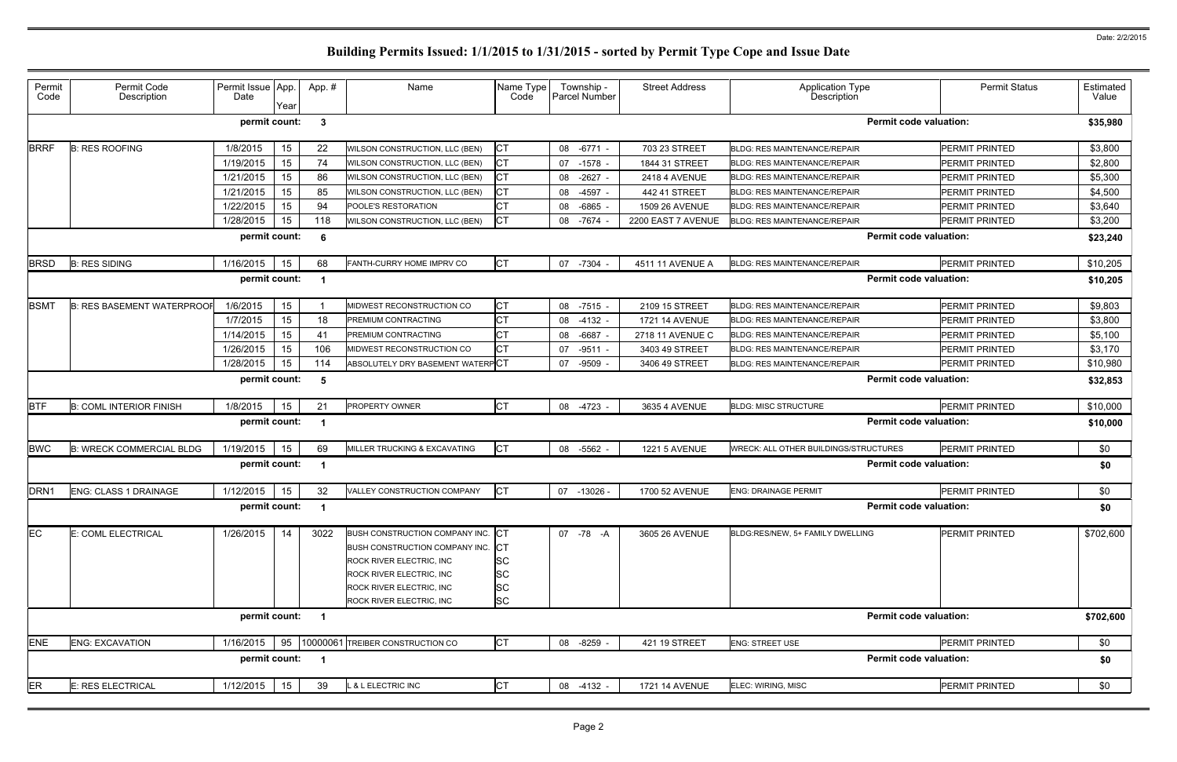| Permit<br>Code   | Permit Code<br>Description        | Permit Issue App.<br>Date | Year | App. #                  | Name                                                                                                                                                                                | Name Type<br>Code                                       | Township -<br>Parcel Number | <b>Street Address</b> | <b>Application Type</b><br>Description       | <b>Permit Status</b>  | Estimated<br>Value |
|------------------|-----------------------------------|---------------------------|------|-------------------------|-------------------------------------------------------------------------------------------------------------------------------------------------------------------------------------|---------------------------------------------------------|-----------------------------|-----------------------|----------------------------------------------|-----------------------|--------------------|
|                  |                                   | permit count:             |      | $\mathbf{3}$            |                                                                                                                                                                                     |                                                         |                             |                       | <b>Permit code valuation:</b>                |                       | \$35,980           |
| <b>BRRF</b>      | <b>B: RES ROOFING</b>             | 1/8/2015                  | 15   | 22                      | WILSON CONSTRUCTION, LLC (BEN)                                                                                                                                                      | СT                                                      | 08 -6771                    | 703 23 STREET         | <b>BLDG: RES MAINTENANCE/REPAIR</b>          | <b>PERMIT PRINTED</b> | \$3,800            |
|                  |                                   | 1/19/2015                 | 15   | 74                      | WILSON CONSTRUCTION, LLC (BEN)                                                                                                                                                      | СT                                                      | 07 -1578                    | 1844 31 STREET        | <b>BLDG: RES MAINTENANCE/REPAIR</b>          | PERMIT PRINTED        | \$2,800            |
|                  |                                   | 1/21/2015                 | 15   | 86                      | WILSON CONSTRUCTION, LLC (BEN)                                                                                                                                                      | СT                                                      | 08<br>$-2627$               | 2418 4 AVENUE         | <b>BLDG: RES MAINTENANCE/REPAIR</b>          | PERMIT PRINTED        | \$5,300            |
|                  |                                   | 1/21/2015                 | 15   | 85                      | WILSON CONSTRUCTION, LLC (BEN)                                                                                                                                                      | СT                                                      | 08<br>$-4597$               | 442 41 STREET         | <b>BLDG: RES MAINTENANCE/REPAIR</b>          | PERMIT PRINTED        | \$4,500            |
|                  |                                   | 1/22/2015                 | 15   | 94                      | POOLE'S RESTORATION                                                                                                                                                                 | СT                                                      | 08<br>-6865                 | 1509 26 AVENUE        | <b>BLDG: RES MAINTENANCE/REPAIR</b>          | PERMIT PRINTED        | \$3,640            |
|                  |                                   | 1/28/2015                 | 15   | 118                     | WILSON CONSTRUCTION, LLC (BEN)                                                                                                                                                      | СT                                                      | 08 -7674                    | 2200 EAST 7 AVENUE    | <b>BLDG: RES MAINTENANCE/REPAIR</b>          | <b>PERMIT PRINTED</b> | \$3,200            |
|                  |                                   | permit count:             |      | -6                      |                                                                                                                                                                                     |                                                         |                             |                       | <b>Permit code valuation:</b>                |                       | \$23,240           |
| <b>BRSD</b>      | <b>B: RES SIDING</b>              | 1/16/2015                 | 15   | 68                      | FANTH-CURRY HOME IMPRV CO                                                                                                                                                           | <b>CT</b>                                               | 07 -7304                    | 4511 11 AVENUE A      | <b>BLDG: RES MAINTENANCE/REPAIR</b>          | <b>PERMIT PRINTED</b> | \$10,205           |
|                  |                                   | permit count:             |      |                         |                                                                                                                                                                                     |                                                         |                             |                       | <b>Permit code valuation:</b>                |                       | \$10,205           |
| <b>BSMT</b>      | <b>B: RES BASEMENT WATERPROOF</b> | 1/6/2015                  | 15   |                         | MIDWEST RECONSTRUCTION CO                                                                                                                                                           | СT                                                      | 08 -7515 -                  | 2109 15 STREET        | <b>BLDG: RES MAINTENANCE/REPAIR</b>          | PERMIT PRINTED        | \$9,803            |
|                  |                                   | 1/7/2015                  | 15   | 18                      | PREMIUM CONTRACTING                                                                                                                                                                 | СT                                                      | 08 -4132                    | <b>1721 14 AVENUE</b> | <b>BLDG: RES MAINTENANCE/REPAIR</b>          | PERMIT PRINTED        | \$3,800            |
|                  |                                   | 1/14/2015                 | 15   | 41                      | PREMIUM CONTRACTING                                                                                                                                                                 |                                                         | -6687<br>08                 | 2718 11 AVENUE C      | <b>BLDG: RES MAINTENANCE/REPAIR</b>          | PERMIT PRINTED        | \$5,100            |
|                  |                                   | 1/26/2015                 | 15   | 106                     | MIDWEST RECONSTRUCTION CO                                                                                                                                                           | СT                                                      | 07 -9511                    | 3403 49 STREET        | <b>BLDG: RES MAINTENANCE/REPAIR</b>          | PERMIT PRINTED        | \$3,170            |
|                  |                                   | 1/28/2015                 | 15   | 114                     | ABSOLUTELY DRY BASEMENT WATERPCT                                                                                                                                                    |                                                         | 07 -9509                    | 3406 49 STREET        | <b>BLDG: RES MAINTENANCE/REPAIR</b>          | PERMIT PRINTED        | \$10,980           |
|                  |                                   | permit count:             |      | -5                      |                                                                                                                                                                                     |                                                         |                             |                       | <b>Permit code valuation:</b>                |                       | \$32,853           |
| <b>BTF</b>       | <b>B: COML INTERIOR FINISH</b>    | 1/8/2015                  | 15   | 21                      | <b>PROPERTY OWNER</b>                                                                                                                                                               | <b>CT</b>                                               | 08 -4723 -                  | 3635 4 AVENUE         | <b>BLDG: MISC STRUCTURE</b>                  | PERMIT PRINTED        | \$10,000           |
|                  |                                   | permit count:             |      |                         |                                                                                                                                                                                     |                                                         |                             |                       | <b>Permit code valuation:</b>                |                       | \$10,000           |
| <b>BWC</b>       | <b>B: WRECK COMMERCIAL BLDG</b>   | 1/19/2015                 | 15   | 69                      | MILLER TRUCKING & EXCAVATING                                                                                                                                                        | СT                                                      | 08 -5562 -                  | <b>1221 5 AVENUE</b>  | <b>WRECK: ALL OTHER BUILDINGS/STRUCTURES</b> | <b>PERMIT PRINTED</b> | \$0                |
|                  |                                   | permit count:             |      |                         |                                                                                                                                                                                     |                                                         |                             |                       | <b>Permit code valuation:</b>                |                       | \$0                |
| DRN <sub>1</sub> | ENG: CLASS 1 DRAINAGE             | 1/12/2015                 | 15   | 32                      | VALLEY CONSTRUCTION COMPANY                                                                                                                                                         | IСТ                                                     | 07 -13026 -                 | 1700 52 AVENUE        | <b>ENG: DRAINAGE PERMIT</b>                  | PERMIT PRINTED        | \$0                |
|                  |                                   | permit count: 1           |      |                         |                                                                                                                                                                                     |                                                         |                             |                       | <b>Permit code valuation:</b>                |                       | \$0                |
| EC               | E: COML ELECTRICAL                | 1/26/2015                 | 14   | 3022                    | BUSH CONSTRUCTION COMPANY INC. CT<br>BUSH CONSTRUCTION COMPANY INC.<br>ROCK RIVER ELECTRIC, INC<br>ROCK RIVER ELECTRIC, INC<br>ROCK RIVER ELECTRIC, INC<br>ROCK RIVER ELECTRIC, INC | IСТ<br><b>SC</b><br><b>SC</b><br><b>SC</b><br><b>SC</b> | 07 - 78 - A                 | 3605 26 AVENUE        | BLDG:RES/NEW, 5+ FAMILY DWELLING             | <b>PERMIT PRINTED</b> | \$702,600          |
|                  |                                   | permit count:             |      | $\overline{\mathbf{1}}$ |                                                                                                                                                                                     |                                                         |                             |                       | <b>Permit code valuation:</b>                |                       | \$702,600          |
| <b>ENE</b>       | <b>ENG: EXCAVATION</b>            | 1/16/2015                 |      |                         | 95   10000061 TREIBER CONSTRUCTION CO                                                                                                                                               | <b>CT</b>                                               | 08 -8259 -                  | 421 19 STREET         | <b>ENG: STREET USE</b>                       | PERMIT PRINTED        | \$0                |
|                  |                                   | permit count:             |      | $\overline{\mathbf{1}}$ |                                                                                                                                                                                     |                                                         |                             |                       | <b>Permit code valuation:</b>                |                       | \$0                |
| <b>ER</b>        | <b>E: RES ELECTRICAL</b>          | 1/12/2015                 | 15   | 39                      | L & L ELECTRIC INC                                                                                                                                                                  | <b>CT</b>                                               | 08 -4132 -                  | 1721 14 AVENUE        | ELEC: WIRING, MISC                           | PERMIT PRINTED        | \$0                |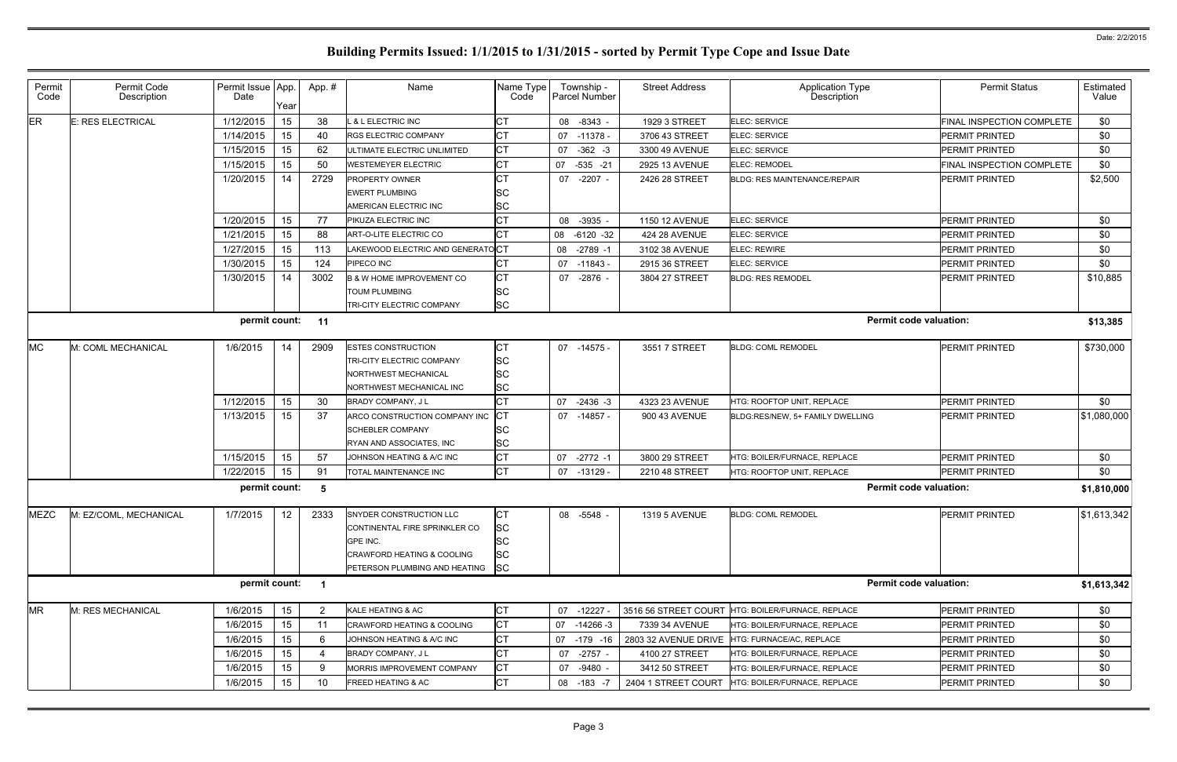| Permit<br>Code | Permit Code<br>Description                                       | Permit Issue App.<br>Date | Year | App.#                 | Name                                  | Name Type<br>Code | Township -<br>Parcel Number | <b>Street Address</b> | Application Type<br>Description                   | <b>Permit Status</b>      | Estimated<br>Value |  |
|----------------|------------------------------------------------------------------|---------------------------|------|-----------------------|---------------------------------------|-------------------|-----------------------------|-----------------------|---------------------------------------------------|---------------------------|--------------------|--|
| ER             | <b>E: RES ELECTRICAL</b>                                         | 1/12/2015                 | 15   | 38                    | L & L ELECTRIC INC                    | СT                | 08 -8343 -                  | 1929 3 STREET         | ELEC: SERVICE                                     | FINAL INSPECTION COMPLETE | \$0                |  |
|                |                                                                  | 1/14/2015                 | 15   | 40                    | <b>RGS ELECTRIC COMPANY</b>           | <b>CT</b>         | 07 -11378 -                 | 3706 43 STREET        | <b>ELEC: SERVICE</b>                              | <b>PERMIT PRINTED</b>     | \$0                |  |
|                |                                                                  | 1/15/2015                 | 15   | 62                    | ULTIMATE ELECTRIC UNLIMITED           | СT                | $-362 -3$<br>07             | 3300 49 AVENUE        | <b>ELEC: SERVICE</b>                              | <b>PERMIT PRINTED</b>     | \$0                |  |
|                |                                                                  | 1/15/2015                 | 15   | 50                    | <b>WESTEMEYER ELECTRIC</b>            | <b>CT</b>         | 07 -535 -21                 | 2925 13 AVENUE        | <b>ELEC: REMODEL</b>                              | FINAL INSPECTION COMPLETE | \$0                |  |
|                |                                                                  | 1/20/2015                 | 14   | 2729                  | <b>PROPERTY OWNER</b>                 | <b>CT</b>         | $-2207 -$<br>07             | 2426 28 STREET        | BLDG: RES MAINTENANCE/REPAIR                      | <b>PERMIT PRINTED</b>     | \$2,500            |  |
|                |                                                                  |                           |      |                       | <b>EWERT PLUMBING</b>                 | lSС               |                             |                       |                                                   |                           |                    |  |
|                |                                                                  |                           |      |                       | AMERICAN ELECTRIC INC                 | <b>SC</b>         |                             |                       |                                                   |                           |                    |  |
|                |                                                                  | 1/20/2015                 | 15   | 77                    | PIKUZA ELECTRIC INC                   | СT                | 08 -3935 -                  | 1150 12 AVENUE        | <b>ELEC: SERVICE</b>                              | <b>PERMIT PRINTED</b>     | \$0                |  |
|                |                                                                  | 1/21/2015                 | 15   | 88                    | ART-O-LITE ELECTRIC CO                | <b>CT</b>         | 08 -6120 -32                | 424 28 AVENUE         | <b>ELEC: SERVICE</b>                              | <b>PERMIT PRINTED</b>     | \$0                |  |
|                |                                                                  | 1/27/2015                 | 15   | 113                   | LAKEWOOD ELECTRIC AND GENERATOCT      |                   | 08 -2789 -1                 | 3102 38 AVENUE        | <b>ELEC: REWIRE</b>                               | <b>PERMIT PRINTED</b>     | \$0                |  |
|                |                                                                  | 1/30/2015                 | 15   | 124                   | PIPECO INC                            | СT                | 07 -11843 -                 | 2915 36 STREET        | <b>ELEC: SERVICE</b>                              | <b>PERMIT PRINTED</b>     | \$0                |  |
|                |                                                                  | 1/30/2015                 | 14   | 3002                  | <b>B &amp; W HOME IMPROVEMENT CO</b>  | <b>CT</b>         | 07 -2876 -                  | 3804 27 STREET        | <b>BLDG: RES REMODEL</b>                          | <b>PERMIT PRINTED</b>     | \$10,885           |  |
|                |                                                                  |                           |      |                       | <b>TOUM PLUMBING</b>                  | SС                |                             |                       |                                                   |                           |                    |  |
|                |                                                                  |                           |      |                       | TRI-CITY ELECTRIC COMPANY             | <b>SC</b>         |                             |                       |                                                   |                           |                    |  |
|                | <b>Permit code valuation:</b><br>permit count:<br>11<br>\$13,385 |                           |      |                       |                                       |                   |                             |                       |                                                   |                           |                    |  |
| <b>MC</b>      | M: COML MECHANICAL                                               | 1/6/2015                  | 14   | 2909                  | <b>ESTES CONSTRUCTION</b>             | <b>CT</b>         | 07 -14575 -                 | 3551 7 STREET         | <b>BLDG: COML REMODEL</b>                         | <b>PERMIT PRINTED</b>     | \$730,000          |  |
|                |                                                                  |                           |      |                       | TRI-CITY ELECTRIC COMPANY             | SC                |                             |                       |                                                   |                           |                    |  |
|                |                                                                  |                           |      |                       | <b>NORTHWEST MECHANICAL</b>           | SC                |                             |                       |                                                   |                           |                    |  |
|                |                                                                  |                           |      |                       | NORTHWEST MECHANICAL INC              | SC                |                             |                       |                                                   |                           |                    |  |
|                |                                                                  | 1/12/2015                 | 15   | 30                    | BRADY COMPANY, J L                    | СT                | 07 -2436 -3                 | 4323 23 AVENUE        | HTG: ROOFTOP UNIT. REPLACE                        | <b>PERMIT PRINTED</b>     | \$0                |  |
|                |                                                                  | 1/13/2015                 | 15   | 37                    | ARCO CONSTRUCTION COMPANY INC         | СT                | 07 -14857 -                 | 900 43 AVENUE         | BLDG:RES/NEW, 5+ FAMILY DWELLING                  | <b>PERMIT PRINTED</b>     | \$1,080,000        |  |
|                |                                                                  |                           |      |                       | <b>SCHEBLER COMPANY</b>               | SС                |                             |                       |                                                   |                           |                    |  |
|                |                                                                  |                           |      |                       | RYAN AND ASSOCIATES, INC              | <b>SC</b>         |                             |                       |                                                   |                           |                    |  |
|                |                                                                  | 1/15/2015                 | 15   | 57                    | JOHNSON HEATING & A/C INC             | СT                | 07 -2772 -1                 | 3800 29 STREET        | HTG: BOILER/FURNACE, REPLACE                      | <b>PERMIT PRINTED</b>     | \$0                |  |
|                |                                                                  | 1/22/2015                 | 15   | 91                    | TOTAL MAINTENANCE INC                 | СT                | -13129 -<br>07              | 2210 48 STREET        | HTG: ROOFTOP UNIT, REPLACE                        | <b>PERMIT PRINTED</b>     | \$0                |  |
|                |                                                                  | permit count:             |      | - 5                   |                                       |                   |                             |                       | <b>Permit code valuation:</b>                     |                           | \$1,810,000        |  |
| <b>MEZC</b>    | M: EZ/COML, MECHANICAL                                           | 1/7/2015                  | 12   | 2333                  | SNYDER CONSTRUCTION LLC               | СT                | 08 -5548 -                  | 1319 5 AVENUE         | <b>BLDG: COML REMODEL</b>                         | <b>PERMIT PRINTED</b>     | \$1,613,342        |  |
|                |                                                                  |                           |      |                       | CONTINENTAL FIRE SPRINKLER CO         | SС                |                             |                       |                                                   |                           |                    |  |
|                |                                                                  |                           |      |                       | GPE INC.                              | SC                |                             |                       |                                                   |                           |                    |  |
|                |                                                                  |                           |      |                       | CRAWFORD HEATING & COOLING            | <b>SC</b>         |                             |                       |                                                   |                           |                    |  |
|                |                                                                  |                           |      |                       | PETERSON PLUMBING AND HEATING SC      |                   |                             |                       |                                                   |                           |                    |  |
|                |                                                                  | permit count: 1           |      |                       |                                       |                   |                             |                       | <b>Permit code valuation:</b>                     |                           | \$1,613,342        |  |
| <b>MR</b>      | M: RES MECHANICAL                                                | 1/6/2015                  | 15   | $\mathbf{2}^{\prime}$ | KALE HEATING & AC                     | СT                | 07 -12227 -                 |                       | 3516 56 STREET COURT HTG: BOILER/FURNACE, REPLACE | <b>PERMIT PRINTED</b>     | \$0                |  |
|                |                                                                  | 1/6/2015                  | 15   | 11                    | <b>CRAWFORD HEATING &amp; COOLING</b> | СT                | 07 -14266 -3                | 7339 34 AVENUE        | HTG: BOILER/FURNACE, REPLACE                      | <b>PERMIT PRINTED</b>     | \$0                |  |
|                |                                                                  | 1/6/2015                  | 15   | 6                     | JOHNSON HEATING & A/C INC             | СT                | 07 -179 -16                 | 2803 32 AVENUE DRIVE  | HTG: FURNACE/AC, REPLACE                          | <b>PERMIT PRINTED</b>     | \$0                |  |
|                |                                                                  | 1/6/2015                  | 15   |                       | BRADY COMPANY, J L                    | СT                | 07 -2757 -                  | 4100 27 STREET        | HTG: BOILER/FURNACE, REPLACE                      | <b>PERMIT PRINTED</b>     | \$0                |  |
|                |                                                                  | 1/6/2015                  | 15   |                       | MORRIS IMPROVEMENT COMPANY            | СT                | 07 -9480 -                  | 3412 50 STREET        | HTG: BOILER/FURNACE, REPLACE                      | <b>PERMIT PRINTED</b>     | \$0                |  |
|                |                                                                  | 1/6/2015                  | 15   | 10                    | FREED HEATING & AC                    | СT                | 08 -183 -7                  | 2404 1 STREET COURT   | HTG: BOILER/FURNACE, REPLACE                      | <b>PERMIT PRINTED</b>     | \$0                |  |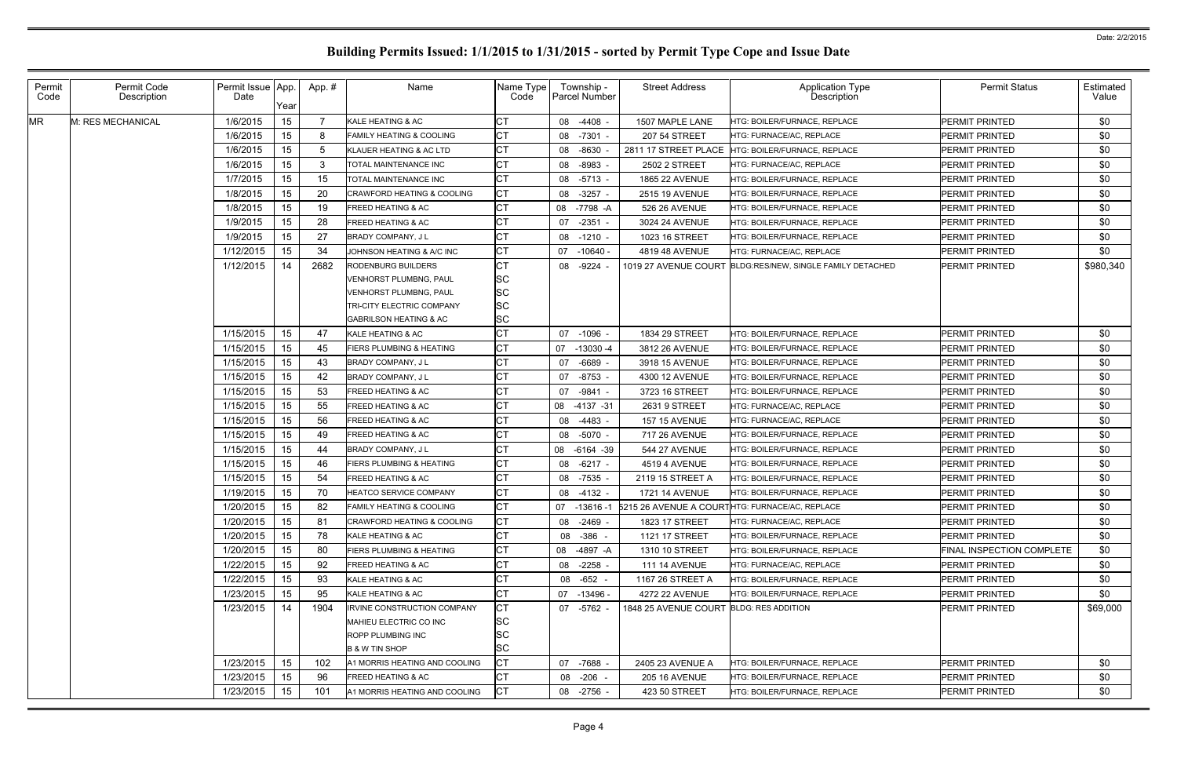| Permit<br>Code | Permit Code<br>Description | Permit Issue App<br>Date | Year | App.# | Name                                  | Name Type<br>Code   | Township -<br>Parcel Number | <b>Street Address</b>                   | <b>Application Type</b><br>Description                      | <b>Permit Status</b>      | Estimated<br>Value |
|----------------|----------------------------|--------------------------|------|-------|---------------------------------------|---------------------|-----------------------------|-----------------------------------------|-------------------------------------------------------------|---------------------------|--------------------|
| <b>MR</b>      | M: RES MECHANICAL          | 1/6/2015                 | 15   |       | KALE HEATING & AC                     | СT                  | 08 -4408                    | 1507 MAPLE LANE                         | <b>HTG: BOILER/FURNACE, REPLACE</b>                         | PERMIT PRINTED            | \$0                |
|                |                            | 1/6/2015                 | 15   | 8     | <b>FAMILY HEATING &amp; COOLING</b>   | <b>CT</b>           | 08<br>-7301                 | 207 54 STREET                           | HTG: FURNACE/AC, REPLACE                                    | PERMIT PRINTED            | \$0                |
|                |                            | 1/6/2015                 | 15   |       | KLAUER HEATING & AC LTD               | СT                  | -8630<br>08                 | 2811 17 STREET PLACE                    | <b>HTG: BOILER/FURNACE, REPLACE</b>                         | PERMIT PRINTED            | \$0                |
|                |                            | 1/6/2015                 | 15   | 3     | TOTAL MAINTENANCE INC                 | СT                  | -8983<br>08                 | 2502 2 STREET                           | HTG: FURNACE/AC, REPLACE                                    | PERMIT PRINTED            | \$0                |
|                |                            | 1/7/2015                 | 15   | 15    | <b>TOTAL MAINTENANCE INC</b>          | <b>CT</b>           | 08<br>$-5713$               | <b>1865 22 AVENUE</b>                   | HTG: BOILER/FURNACE, REPLACE                                | PERMIT PRINTED            | \$0                |
|                |                            | 1/8/2015                 | 15   | 20    | <b>CRAWFORD HEATING &amp; COOLING</b> | СT                  | 08<br>$-3257$ -             | 2515 19 AVENUE                          | HTG: BOILER/FURNACE, REPLACE                                | PERMIT PRINTED            | \$0                |
|                |                            | 1/8/2015                 | 15   | 19    | <b>FREED HEATING &amp; AC</b>         | <b>CT</b>           | 08 -7798 -A                 | 526 26 AVENUE                           | HTG: BOILER/FURNACE, REPLACE                                | PERMIT PRINTED            | \$0                |
|                |                            | 1/9/2015                 | 15   | 28    | <b>FREED HEATING &amp; AC</b>         | СT                  | 07<br>$-2351$               | 3024 24 AVENUE                          | HTG: BOILER/FURNACE, REPLACE                                | PERMIT PRINTED            | \$0                |
|                |                            | 1/9/2015                 | 15   | 27    | <b>BRADY COMPANY, JL</b>              | СT                  | 08 -1210 -                  | 1023 16 STREET                          | HTG: BOILER/FURNACE, REPLACE                                | PERMIT PRINTED            | \$0                |
|                |                            | 1/12/2015                | 15   | 34    | JOHNSON HEATING & A/C INC             | СT                  | 07<br>-10640 -              | 4819 48 AVENUE                          | HTG: FURNACE/AC, REPLACE                                    | PERMIT PRINTED            | \$0                |
|                |                            | 1/12/2015                | 14   | 2682  | <b>RODENBURG BUILDERS</b>             | СT                  | 08 -9224                    |                                         |                                                             | PERMIT PRINTED            | \$980,340          |
|                |                            |                          |      |       | <b>VENHORST PLUMBNG, PAUL</b>         | <b>SC</b>           |                             |                                         |                                                             |                           |                    |
|                |                            |                          |      |       | <b>VENHORST PLUMBNG, PAUL</b>         | <b>SC</b>           |                             |                                         |                                                             |                           |                    |
|                |                            |                          |      |       | <b>TRI-CITY ELECTRIC COMPANY</b>      | <b>SC</b>           |                             |                                         |                                                             |                           |                    |
|                |                            |                          |      |       | <b>GABRILSON HEATING &amp; AC</b>     | SC                  |                             |                                         |                                                             |                           |                    |
|                |                            | 1/15/2015                | 15   | 47    | KALE HEATING & AC                     | <b>CT</b>           | 07 -1096                    | 1834 29 STREET                          | HTG: BOILER/FURNACE, REPLACE                                | PERMIT PRINTED            | \$0                |
|                |                            | 1/15/2015                | 15   | 45    | <b>FIERS PLUMBING &amp; HEATING</b>   | СT                  | 07 -13030 -4                | 3812 26 AVENUE                          | HTG: BOILER/FURNACE, REPLACE                                | PERMIT PRINTED            | \$0                |
|                |                            | 1/15/2015                | 15   | 43    | <b>BRADY COMPANY, JL</b>              | СT                  | -6689<br>07                 | 3918 15 AVENUE                          | HTG: BOILER/FURNACE, REPLACE                                | PERMIT PRINTED            | \$0                |
|                |                            | 1/15/2015                | 15   | 42    | <b>BRADY COMPANY, JL</b>              | СT                  | 07 -8753                    | 4300 12 AVENUE                          | <b>HTG: BOILER/FURNACE, REPLACE</b>                         | PERMIT PRINTED            | \$0                |
|                |                            | 1/15/2015                | 15   | 53    | <b>FREED HEATING &amp; AC</b>         |                     | 07 -9841 -                  | 3723 16 STREET                          | HTG: BOILER/FURNACE, REPLACE                                | PERMIT PRINTED            | \$0                |
|                |                            | 1/15/2015                | 15   | 55    | <b>FREED HEATING &amp; AC</b>         | СT                  | 08 -4137 -31                | 2631 9 STREET                           | HTG: FURNACE/AC, REPLACE                                    | PERMIT PRINTED            | \$0                |
|                |                            | 1/15/2015                | 15   | 56    | <b>FREED HEATING &amp; AC</b>         |                     | 08 -4483 -                  | <b>157 15 AVENUE</b>                    | HTG: FURNACE/AC, REPLACE                                    | PERMIT PRINTED            | \$0                |
|                |                            | 1/15/2015                | 15   | 49    | <b>FREED HEATING &amp; AC</b>         | СT                  | 08 -5070 -                  | 717 26 AVENUE                           | HTG: BOILER/FURNACE, REPLACE                                | PERMIT PRINTED            | \$0                |
|                |                            | 1/15/2015                | 15   | 44    | <b>BRADY COMPANY, JL</b>              |                     | 08 -6164 -39                | 544 27 AVENUE                           | HTG: BOILER/FURNACE, REPLACE                                | PERMIT PRINTED            | \$0                |
|                |                            | 1/15/2015                | 15   | 46    | <b>FIERS PLUMBING &amp; HEATING</b>   | СT                  | 08 -6217 -                  | 4519 4 AVENUE                           | HTG: BOILER/FURNACE, REPLACE                                | PERMIT PRINTED            | \$0                |
|                |                            | 1/15/2015                | 15   | 54    | <b>FREED HEATING &amp; AC</b>         |                     | 08 -7535                    | 2119 15 STREET A                        | HTG: BOILER/FURNACE. REPLACE                                | PERMIT PRINTED            | \$0                |
|                |                            | 1/19/2015                | 15   | 70    | HEATCO SERVICE COMPANY                | СT                  | 08 -4132 -                  | 1721 14 AVENUE                          | HTG: BOILER/FURNACE, REPLACE                                | PERMIT PRINTED            | \$0                |
|                |                            | 1/20/2015                | 15   | 82    | FAMILY HEATING & COOLING              | $\sim$ $\sim$<br>◡⊢ |                             |                                         | 07 -13616 -1 5215 26 AVENUE A COURTHTG: FURNACE/AC, REPLACE | PERMIT PRINTED            | \$0                |
|                |                            | 1/20/2015                | 15   | -81   | <b>CRAWFORD HEATING &amp; COOLING</b> | СT                  | 08 -2469 -                  | 1823 17 STREET                          | HTG: FURNACE/AC, REPLACE                                    | PERMIT PRINTED            | \$0                |
|                |                            | 1/20/2015                | 15   | 78    | KALE HEATING & AC                     |                     | 08<br>$-386 -$              | 1121 17 STREET                          | HTG: BOILER/FURNACE, REPLACE                                | PERMIT PRINTED            | \$0                |
|                |                            | 1/20/2015                | 15   | 80    | <b>FIERS PLUMBING &amp; HEATING</b>   | CT                  | 08 -4897 -A                 | 1310 10 STREET                          | HTG: BOILER/FURNACE, REPLACE                                | FINAL INSPECTION COMPLETE | \$0                |
|                |                            | 1/22/2015                | 15   | 92    | <b>FREED HEATING &amp; AC</b>         |                     | 08 -2258 -                  | <b>111 14 AVENUE</b>                    | HTG: FURNACE/AC, REPLACE                                    | PERMIT PRINTED            | \$0                |
|                |                            | 1/22/2015                | 15   | 93    | KALE HEATING & AC                     | СT                  | 08 -652 -                   | 1167 26 STREET A                        | HTG: BOILER/FURNACE, REPLACE                                | PERMIT PRINTED            | \$0                |
|                |                            | 1/23/2015                | 15   | 95    | KALE HEATING & AC                     | СT                  | 07 -13496 -                 | 4272 22 AVENUE                          | HTG: BOILER/FURNACE, REPLACE                                | PERMIT PRINTED            | \$0                |
|                |                            | 1/23/2015                | 14   | 1904  | <b>IRVINE CONSTRUCTION COMPANY</b>    | CT                  | 07 -5762 -                  | 1848 25 AVENUE COURT BLDG: RES ADDITION |                                                             | PERMIT PRINTED            | \$69,000           |
|                |                            |                          |      |       | <b>IMAHIEU ELECTRIC CO INC</b>        | <b>SC</b>           |                             |                                         |                                                             |                           |                    |
|                |                            |                          |      |       | <b>ROPP PLUMBING INC</b>              | <b>SC</b>           |                             |                                         |                                                             |                           |                    |
|                |                            |                          |      |       | <b>B &amp; W TIN SHOP</b>             | <b>SC</b>           |                             |                                         |                                                             |                           |                    |
|                |                            | 1/23/2015                | 15   | 102   | A1 MORRIS HEATING AND COOLING         | СT                  | 07 -7688                    | 2405 23 AVENUE A                        | HTG: BOILER/FURNACE, REPLACE                                | PERMIT PRINTED            | \$0                |
|                |                            | 1/23/2015                | 15   | 96    | <b>FREED HEATING &amp; AC</b>         | СT                  | 08 -206 -                   | <b>205 16 AVENUE</b>                    | HTG: BOILER/FURNACE, REPLACE                                | PERMIT PRINTED            | \$0                |
|                |                            | 1/23/2015                | 15   | 101   | A1 MORRIS HEATING AND COOLING         | СT                  | 08 -2756                    | 423 50 STREET                           | HTG: BOILER/FURNACE, REPLACE                                | <b>PERMIT PRINTED</b>     | \$0                |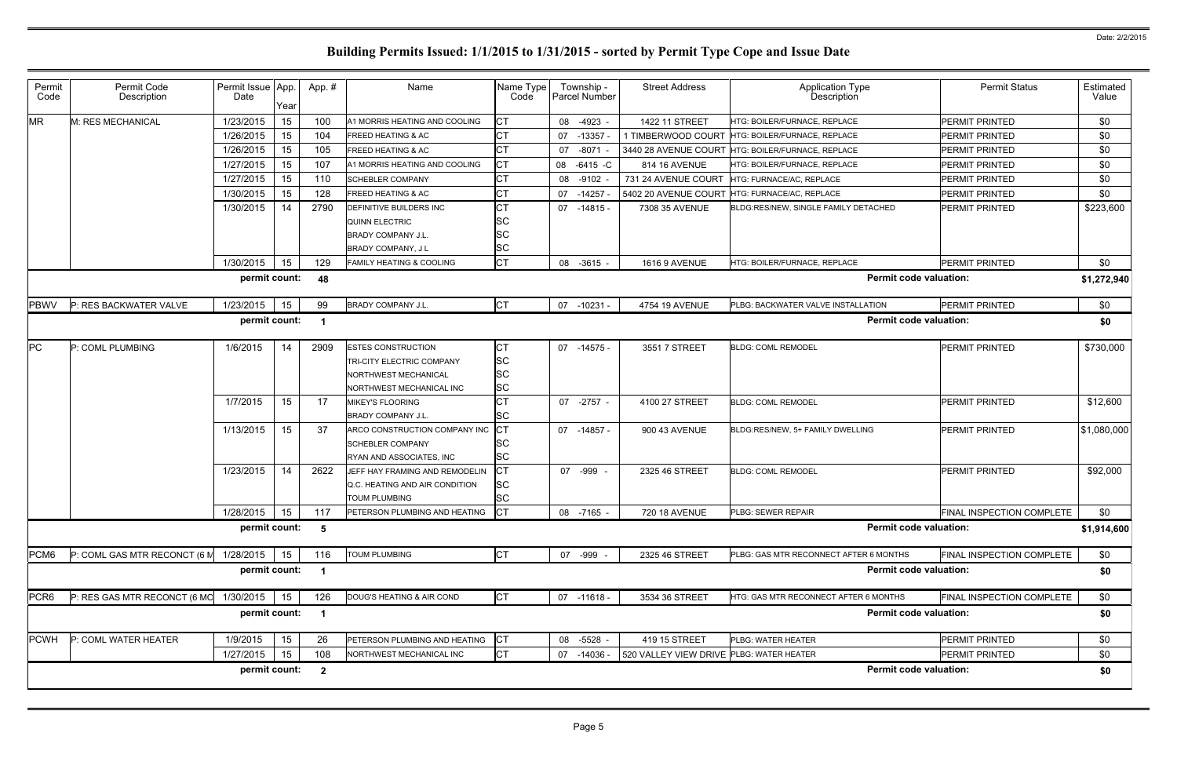| Permit<br>Code | Permit Code<br>Description                                          | Permit Issue App<br>Date | Year | App. #                   | Name                                | Name Type<br>Code | Township -<br>Parcel Number | <b>Street Address</b>                    | <b>Application Type</b><br><b>Description</b>     | <b>Permit Status</b>      | Estimated<br>Value |  |  |
|----------------|---------------------------------------------------------------------|--------------------------|------|--------------------------|-------------------------------------|-------------------|-----------------------------|------------------------------------------|---------------------------------------------------|---------------------------|--------------------|--|--|
| <b>MR</b>      | M: RES MECHANICAL                                                   | 1/23/2015                | 15   | 100                      | A1 MORRIS HEATING AND COOLING       | СT                | 08 -4923                    | 1422 11 STREET                           | HTG: BOILER/FURNACE, REPLACE                      | PERMIT PRINTED            | \$0                |  |  |
|                |                                                                     | 1/26/2015                | 15   | 104                      | <b>FREED HEATING &amp; AC</b>       | СT                | 07 -13357                   | 1 TIMBERWOOD COURT                       | HTG: BOILER/FURNACE, REPLACE                      | <b>PERMIT PRINTED</b>     | \$0                |  |  |
|                |                                                                     | 1/26/2015                | 15   | 105                      | <b>FREED HEATING &amp; AC</b>       | СT                | $-8071$<br>07               |                                          | 3440 28 AVENUE COURT HTG: BOILER/FURNACE, REPLACE | <b>PERMIT PRINTED</b>     | \$0                |  |  |
|                |                                                                     | 1/27/2015                | 15   | 107                      | A1 MORRIS HEATING AND COOLING       | СT                | 08 -6415 -C                 | 814 16 AVENUE                            | HTG: BOILER/FURNACE, REPLACE                      | <b>PERMIT PRINTED</b>     | \$0                |  |  |
|                |                                                                     | 1/27/2015                | 15   | 110                      | <b>SCHEBLER COMPANY</b>             | СT                | 08 -9102                    | 731 24 AVENUE COURT                      | HTG: FURNACE/AC, REPLACE                          | <b>PERMIT PRINTED</b>     | \$0                |  |  |
|                |                                                                     | 1/30/2015                | 15   | 128                      | <b>FREED HEATING &amp; AC</b>       | СT                | 07 - 14257                  | 5402 20 AVENUE COURT                     | HTG: FURNACE/AC, REPLACE                          | <b>PERMIT PRINTED</b>     | \$0                |  |  |
|                |                                                                     | 1/30/2015                | 14   | 2790                     | <b>DEFINITIVE BUILDERS INC</b>      | CT                | 07 -14815 -                 | 7308 35 AVENUE                           | BLDG:RES/NEW, SINGLE FAMILY DETACHED              | <b>PERMIT PRINTED</b>     | \$223,600          |  |  |
|                |                                                                     |                          |      |                          | <b>QUINN ELECTRIC</b>               | SC                |                             |                                          |                                                   |                           |                    |  |  |
|                |                                                                     |                          |      |                          | <b>BRADY COMPANY J.L.</b>           | <b>SC</b>         |                             |                                          |                                                   |                           |                    |  |  |
|                |                                                                     |                          |      |                          | <b>BRADY COMPANY, JL</b>            | <b>SC</b>         |                             |                                          |                                                   |                           |                    |  |  |
|                |                                                                     | 1/30/2015                | 15   | 129                      | <b>FAMILY HEATING &amp; COOLING</b> | <b>CT</b>         | 08 -3615 -                  | <b>1616 9 AVENUE</b>                     | HTG: BOILER/FURNACE, REPLACE                      | <b>PERMIT PRINTED</b>     | \$0                |  |  |
|                | permit count:<br><b>Permit code valuation:</b><br>48<br>\$1,272,940 |                          |      |                          |                                     |                   |                             |                                          |                                                   |                           |                    |  |  |
| <b>PBWV</b>    | P: RES BACKWATER VALVE                                              | 1/23/2015                | 15   | 99                       | <b>BRADY COMPANY J.L.</b>           | <b>CT</b>         | 07 -10231                   | 4754 19 AVENUE                           | PLBG: BACKWATER VALVE INSTALLATION                | <b>PERMIT PRINTED</b>     | \$0                |  |  |
|                |                                                                     | permit count:            |      | -1                       |                                     |                   |                             |                                          | <b>Permit code valuation:</b>                     |                           |                    |  |  |
|                |                                                                     |                          |      |                          |                                     |                   |                             |                                          |                                                   |                           | \$0                |  |  |
| PС             | P: COML PLUMBING                                                    | 1/6/2015                 | 14   | 2909                     | <b>ESTES CONSTRUCTION</b>           | СT                | 07 -14575 -                 | 3551 7 STREET                            | <b>BLDG: COML REMODEL</b>                         | <b>PERMIT PRINTED</b>     | \$730,000          |  |  |
|                |                                                                     |                          |      |                          | <b>TRI-CITY ELECTRIC COMPANY</b>    | <b>SC</b>         |                             |                                          |                                                   |                           |                    |  |  |
|                |                                                                     |                          |      |                          | NORTHWEST MECHANICAL                | <b>SC</b>         |                             |                                          |                                                   |                           |                    |  |  |
|                |                                                                     |                          |      |                          | NORTHWEST MECHANICAL INC            | <b>SC</b>         |                             |                                          |                                                   |                           |                    |  |  |
|                |                                                                     | 1/7/2015                 | 15   | 17                       | <b>MIKEY'S FLOORING</b>             | СT                | 07 -2757 -                  | 4100 27 STREET                           | <b>BLDG: COML REMODEL</b>                         | <b>PERMIT PRINTED</b>     | \$12,600           |  |  |
|                |                                                                     |                          |      |                          | <b>BRADY COMPANY J.L.</b>           | SC                |                             |                                          |                                                   |                           |                    |  |  |
|                |                                                                     | 1/13/2015                | 15   | 37                       | ARCO CONSTRUCTION COMPANY INC       | СT                | 07 -14857 -                 | 900 43 AVENUE                            | BLDG:RES/NEW, 5+ FAMILY DWELLING                  | <b>PERMIT PRINTED</b>     | \$1,080,000        |  |  |
|                |                                                                     |                          |      |                          | <b>SCHEBLER COMPANY</b>             | SC                |                             |                                          |                                                   |                           |                    |  |  |
|                |                                                                     |                          |      |                          | RYAN AND ASSOCIATES, INC            | <b>SC</b>         |                             |                                          |                                                   |                           |                    |  |  |
|                |                                                                     | 1/23/2015                | 14   | 2622                     | JEFF HAY FRAMING AND REMODELIN      | СT                | 07 -999                     | 2325 46 STREET                           | <b>BLDG: COML REMODEL</b>                         | <b>PERMIT PRINTED</b>     | \$92,000           |  |  |
|                |                                                                     |                          |      |                          | Q.C. HEATING AND AIR CONDITION      | <b>SC</b>         |                             |                                          |                                                   |                           |                    |  |  |
|                |                                                                     |                          |      |                          | <b>TOUM PLUMBING</b>                | SC                |                             |                                          |                                                   |                           |                    |  |  |
|                |                                                                     | 1/28/2015                | 15   | 117                      | PETERSON PLUMBING AND HEATING CT    |                   | 08 -7165 -                  | 720 18 AVENUE                            | PLBG: SEWER REPAIR                                | FINAL INSPECTION COMPLETE | \$0                |  |  |
|                |                                                                     | permit count:            |      | $\overline{\phantom{0}}$ |                                     |                   |                             |                                          | <b>Permit code valuation:</b>                     |                           | \$1,914,600        |  |  |
| PCM6           | P: COML GAS MTR RECONCT (6 M                                        | 1/28/2015                | 15   | 116                      | <b>TOUM PLUMBING</b>                | СT                | 07 -999 -                   | 2325 46 STREET                           | PLBG: GAS MTR RECONNECT AFTER 6 MONTHS            | FINAL INSPECTION COMPLETE | \$0                |  |  |
|                |                                                                     | permit count:            |      | $\blacksquare$           |                                     |                   |                             |                                          | <b>Permit code valuation:</b>                     |                           | \$0                |  |  |
|                |                                                                     |                          |      |                          |                                     |                   |                             |                                          |                                                   |                           |                    |  |  |
| PCR6           | P: RES GAS MTR RECONCT (6 MO                                        | 1/30/2015                | 15   | 126                      | DOUG'S HEATING & AIR COND           | <b>CT</b>         | 07 -11618 -                 | 3534 36 STREET                           | HTG: GAS MTR RECONNECT AFTER 6 MONTHS             | FINAL INSPECTION COMPLETE | \$0                |  |  |
|                |                                                                     | permit count:            |      | $\blacksquare$           |                                     |                   |                             |                                          | <b>Permit code valuation:</b>                     |                           | \$0                |  |  |
| <b>PCWH</b>    | P: COML WATER HEATER                                                | 1/9/2015                 | 15   | 26                       | PETERSON PLUMBING AND HEATING       | <b>CT</b>         | 08 -5528 -                  | 419 15 STREET                            | PLBG: WATER HEATER                                | PERMIT PRINTED            | \$0                |  |  |
|                |                                                                     | 1/27/2015                | 15   | 108                      | NORTHWEST MECHANICAL INC            | <b>CT</b>         | 07 -14036 -                 | 520 VALLEY VIEW DRIVE PLBG: WATER HEATER |                                                   | PERMIT PRINTED            | \$0                |  |  |
|                |                                                                     | permit count:            |      | $\overline{\mathbf{2}}$  |                                     |                   |                             |                                          | <b>Permit code valuation:</b>                     |                           | \$0                |  |  |
|                |                                                                     |                          |      |                          |                                     |                   |                             |                                          |                                                   |                           |                    |  |  |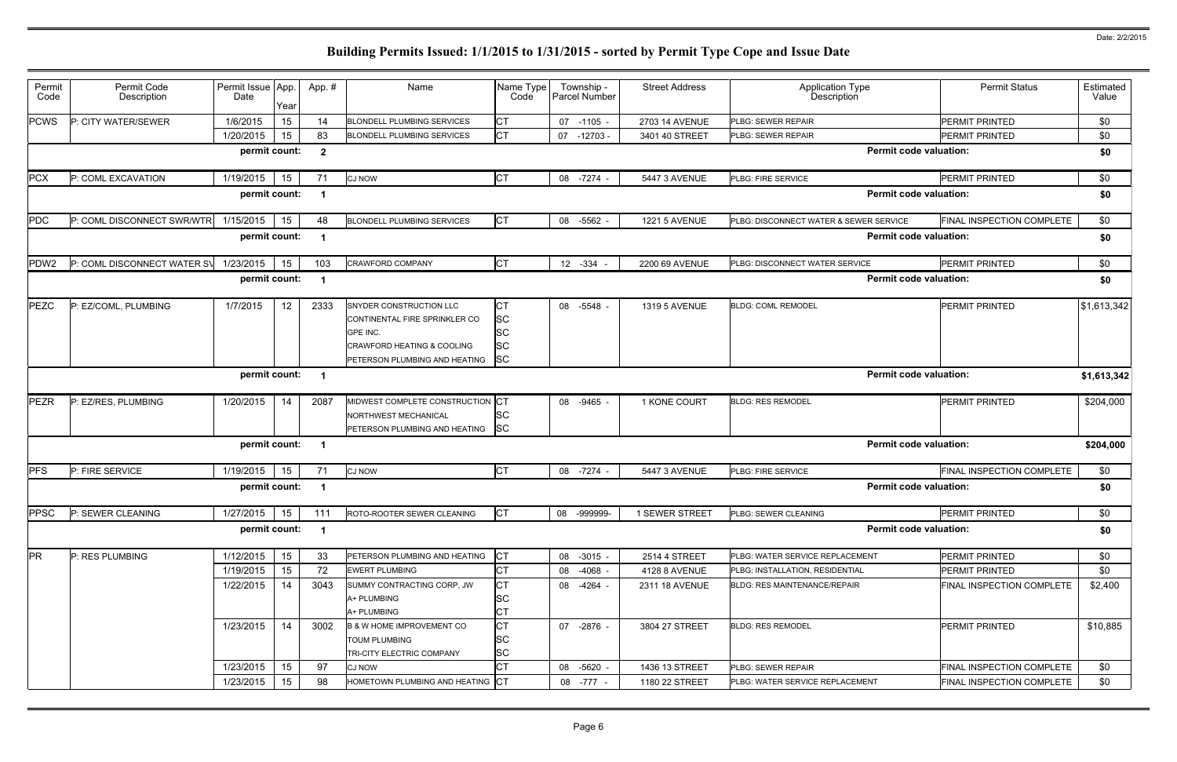| Permit                                         | Permit Code                 | Permit Issue App. |      | App.#          | Name                                  | Name Type  | Township -    | <b>Street Address</b> | Application Type<br>Description        | <b>Permit Status</b>             | Estimated   |
|------------------------------------------------|-----------------------------|-------------------|------|----------------|---------------------------------------|------------|---------------|-----------------------|----------------------------------------|----------------------------------|-------------|
| Code                                           | Description                 | Date              | Year |                |                                       | Code       | Parcel Number |                       |                                        |                                  | Value       |
| <b>PCWS</b>                                    | P: CITY WATER/SEWER         | 1/6/2015          | 15   | 14             | <b>BLONDELL PLUMBING SERVICES</b>     | СT         | 07 -1105 -    | 2703 14 AVENUE        | <b>PLBG: SEWER REPAIR</b>              | <b>PERMIT PRINTED</b>            | \$0         |
|                                                |                             | 1/20/2015         | 15   | 83             | <b>BLONDELL PLUMBING SERVICES</b>     | <b>CT</b>  | 07 -12703     | 3401 40 STREET        | PLBG: SEWER REPAIR                     | <b>PERMIT PRINTED</b>            | \$0         |
|                                                |                             | permit count:     |      | $\overline{2}$ |                                       |            |               |                       | <b>Permit code valuation:</b>          |                                  | \$0         |
| <b>PCX</b>                                     | P: COML EXCAVATION          | 1/19/2015         | 15   | 71             | <b>CJ NOW</b>                         | <b>CT</b>  | 08 - 7274 -   | 5447 3 AVENUE         | PLBG: FIRE SERVICE                     | PERMIT PRINTED                   | \$0         |
|                                                |                             | permit count:     |      |                |                                       |            |               |                       | <b>Permit code valuation:</b>          |                                  | \$0         |
| PDC                                            | P: COML DISCONNECT SWR/WTR  | 1/15/2015         | 15   | 48             | <b>BLONDELL PLUMBING SERVICES</b>     | <b>CT</b>  | 08 -5562 -    | <b>1221 5 AVENUE</b>  | PLBG: DISCONNECT WATER & SEWER SERVICE | FINAL INSPECTION COMPLETE        | \$0         |
|                                                |                             | permit count:     |      |                |                                       |            |               |                       | <b>Permit code valuation:</b>          |                                  | \$0         |
| PDW <sub>2</sub>                               | P: COML DISCONNECT WATER SV | 1/23/2015         | 15   | 103            | <b>CRAWFORD COMPANY</b>               | СT         | 12 -334       | 2200 69 AVENUE        | PLBG: DISCONNECT WATER SERVICE         | <b>PERMIT PRINTED</b>            | \$0         |
| <b>Permit code valuation:</b><br>permit count: |                             |                   |      |                |                                       |            |               |                       |                                        |                                  |             |
| PEZC                                           | P: EZ/COML, PLUMBING        | 1/7/2015          | 12   | 2333           | SNYDER CONSTRUCTION LLC               | <b>CT</b>  | 08 -5548 -    | 1319 5 AVENUE         | <b>BLDG: COML REMODEL</b>              | <b>PERMIT PRINTED</b>            | \$1,613,342 |
|                                                |                             |                   |      |                | CONTINENTAL FIRE SPRINKLER CO         | <b>ISC</b> |               |                       |                                        |                                  |             |
|                                                |                             |                   |      |                | GPE INC.                              | <b>SC</b>  |               |                       |                                        |                                  |             |
|                                                |                             |                   |      |                | <b>CRAWFORD HEATING &amp; COOLING</b> | <b>SC</b>  |               |                       |                                        |                                  |             |
|                                                |                             |                   |      |                | PETERSON PLUMBING AND HEATING SC      |            |               |                       |                                        |                                  |             |
| permit count:<br><b>Permit code valuation:</b> |                             |                   |      |                |                                       |            |               |                       |                                        |                                  | \$1,613,342 |
| PEZR                                           | P: EZ/RES, PLUMBING         | 1/20/2015         | 14   | 2087           | MIDWEST COMPLETE CONSTRUCTION         | СT         | 08 -9465 -    | 1 KONE COURT          | <b>BLDG: RES REMODEL</b>               | <b>PERMIT PRINTED</b>            | \$204,000   |
|                                                |                             |                   |      |                | NORTHWEST MECHANICAL                  | SC         |               |                       |                                        |                                  |             |
|                                                |                             |                   |      |                | PETERSON PLUMBING AND HEATING SC      |            |               |                       |                                        |                                  |             |
|                                                |                             | permit count:     |      |                |                                       |            |               |                       | <b>Permit code valuation:</b>          |                                  | \$204,000   |
| PFS                                            | P: FIRE SERVICE             | 1/19/2015         | 15   | 71             | <b>CJ NOW</b>                         | <b>CT</b>  | 08 -7274      | 5447 3 AVENUE         | PLBG: FIRE SERVICE                     | <b>FINAL INSPECTION COMPLETE</b> | \$0         |
|                                                |                             | permit count:     |      |                |                                       |            |               |                       | <b>Permit code valuation:</b>          |                                  | \$0         |
| <b>PPSC</b>                                    | P: SEWER CLEANING           | 1/27/2015         | 15   | 111            | ROTO-ROOTER SEWER CLEANING            | <b>CT</b>  | 08 -999999-   | 1 SEWER STREET        | PLBG: SEWER CLEANING                   | <b>PERMIT PRINTED</b>            | \$0         |
|                                                |                             | permit count:     |      |                |                                       |            |               |                       | <b>Permit code valuation:</b>          |                                  | \$0         |
| <b>PR</b>                                      | P: RES PLUMBING             | 1/12/2015         | 15   | 33             | PETERSON PLUMBING AND HEATING         | IСТ        | 08 -3015 -    | 2514 4 STREET         | PLBG: WATER SERVICE REPLACEMENT        | <b>PERMIT PRINTED</b>            | \$0         |
|                                                |                             | 1/19/2015         | 15   | 72             | <b>EWERT PLUMBING</b>                 | СT         | 08 -4068 -    | 4128 8 AVENUE         | PLBG: INSTALLATION, RESIDENTIAL        | <b>PERMIT PRINTED</b>            | \$0         |
|                                                |                             | 1/22/2015         | 14   | 3043           | SUMMY CONTRACTING CORP, JW            | СT         | 08 -4264 -    | 2311 18 AVENUE        | <b>BLDG: RES MAINTENANCE/REPAIR</b>    | FINAL INSPECTION COMPLETE        | \$2,400     |
|                                                |                             |                   |      |                | A+ PLUMBING                           | SC         |               |                       |                                        |                                  |             |
|                                                |                             |                   |      |                | A+ PLUMBING                           | СT         |               |                       |                                        |                                  |             |
|                                                |                             | 1/23/2015         | 14   | 3002           | <b>B &amp; W HOME IMPROVEMENT CO</b>  | <b>CT</b>  | 07 -2876 -    | 3804 27 STREET        | <b>BLDG: RES REMODEL</b>               | <b>PERMIT PRINTED</b>            | \$10,885    |
|                                                |                             |                   |      |                | <b>TOUM PLUMBING</b>                  | <b>SC</b>  |               |                       |                                        |                                  |             |
|                                                |                             |                   |      |                | TRI-CITY ELECTRIC COMPANY             | <b>SC</b>  |               |                       |                                        |                                  |             |
|                                                |                             | 1/23/2015         | 15   | 97             | <b>CJ NOW</b>                         | СT         | 08 -5620      | 1436 13 STREET        | PLBG: SEWER REPAIR                     | FINAL INSPECTION COMPLETE        | \$0         |
|                                                |                             | 1/23/2015         | 15   | 98             | HOMETOWN PLUMBING AND HEATING CT      |            | 08 -777 -     | 1180 22 STREET        | PLBG: WATER SERVICE REPLACEMENT        | FINAL INSPECTION COMPLETE        | \$0         |